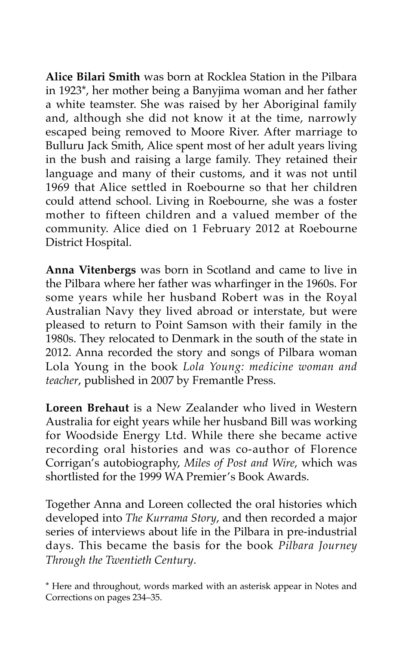**Alice Bilari Smith** was born at Rocklea Station in the Pilbara in 1923\*, her mother being a Banyjima woman and her father a white teamster. She was raised by her Aboriginal family and, although she did not know it at the time, narrowly escaped being removed to Moore River. After marriage to Bulluru Jack Smith, Alice spent most of her adult years living in the bush and raising a large family. They retained their language and many of their customs, and it was not until 1969 that Alice settled in Roebourne so that her children could attend school. Living in Roebourne, she was a foster mother to fifteen children and a valued member of the community. Alice died on 1 February 2012 at Roebourne District Hospital.

**Anna Vitenbergs** was born in Scotland and came to live in the Pilbara where her father was wharfinger in the 1960s. For some years while her husband Robert was in the Royal Australian Navy they lived abroad or interstate, but were pleased to return to Point Samson with their family in the 1980s. They relocated to Denmark in the south of the state in 2012. Anna recorded the story and songs of Pilbara woman Lola Young in the book *Lola Young: medicine woman and teacher*, published in 2007 by Fremantle Press.

**Loreen Brehaut** is a New Zealander who lived in Western Australia for eight years while her husband Bill was working for Woodside Energy Ltd. While there she became active recording oral histories and was co-author of Florence Corrigan's autobiography, *Miles of Post and Wire*, which was shortlisted for the 1999 WA Premier's Book Awards.

Together Anna and Loreen collected the oral histories which developed into *The Kurrama Story*, and then recorded a major series of interviews about life in the Pilbara in pre-industrial days. This became the basis for the book *Pilbara Journey Through the Twentieth Century*.

\* Here and throughout, words marked with an asterisk appear in Notes and Corrections on pages 234–35.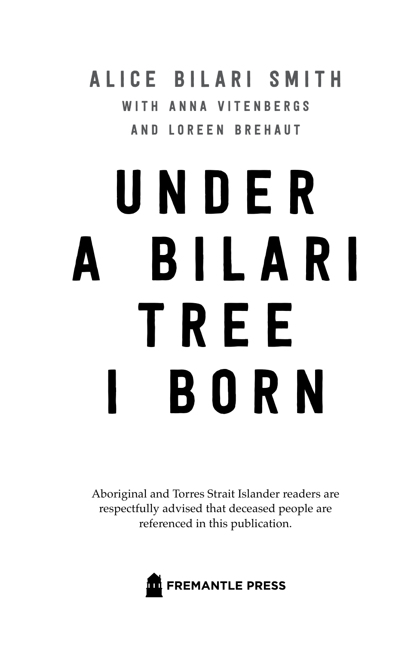ALICE BILARI SMITH WITH ANNA VITENRERGS and L oreen Breha ut

# U n d e r a B i l a r i TREE **BORN**

Aboriginal and Torres Strait Islander readers are respectfully advised that deceased people are referenced in this publication.

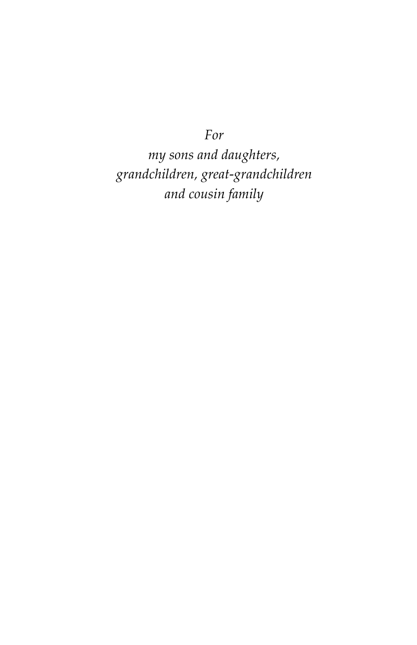*For*

*my sons and daughters, grandchildren, great-grandchildren and cousin family*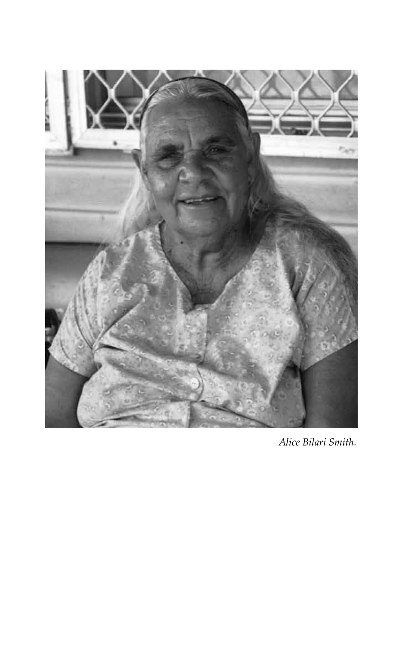

*Alice Bilari Smith.*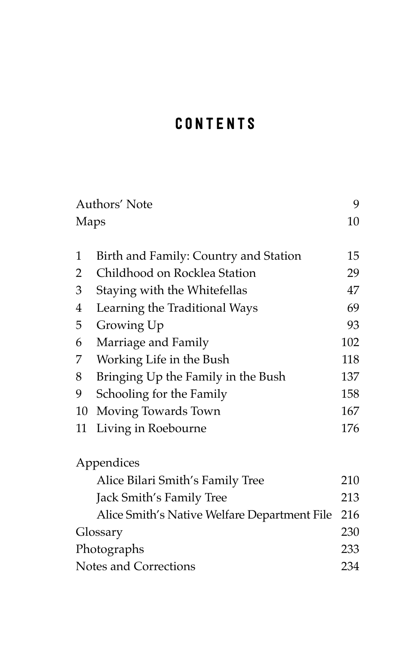### CONTENTS

|                       | Authors' Note                                |     |
|-----------------------|----------------------------------------------|-----|
| Maps                  |                                              | 10  |
| 1                     | Birth and Family: Country and Station        | 15  |
| $\overline{2}$        | Childhood on Rocklea Station                 | 29  |
| 3                     | Staying with the Whitefellas                 | 47  |
| 4                     | Learning the Traditional Ways                | 69  |
| 5                     | Growing Up                                   | 93  |
| 6                     | Marriage and Family                          | 102 |
| 7                     | Working Life in the Bush                     | 118 |
| 8                     | Bringing Up the Family in the Bush           | 137 |
| 9                     | Schooling for the Family                     | 158 |
| 10                    | Moving Towards Town                          | 167 |
| 11                    | Living in Roebourne                          | 176 |
|                       | Appendices                                   |     |
|                       | Alice Bilari Smith's Family Tree             | 210 |
|                       | Jack Smith's Family Tree                     | 213 |
|                       | Alice Smith's Native Welfare Department File | 216 |
| Glossary              |                                              | 230 |
| Photographs           |                                              | 233 |
| Notes and Corrections |                                              | 234 |
|                       |                                              |     |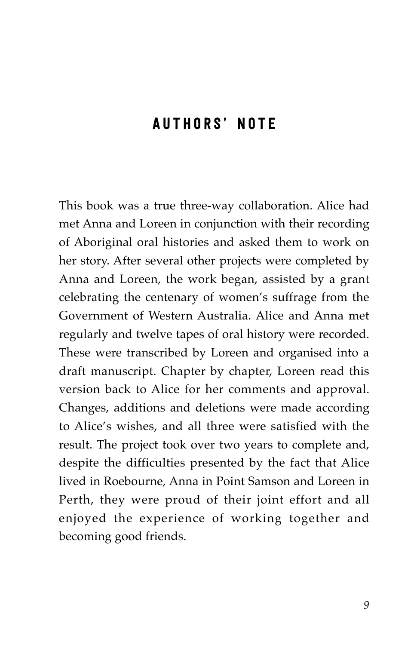#### **AUTHORS' NOTE**

This book was a true three-way collaboration. Alice had met Anna and Loreen in conjunction with their recording of Aboriginal oral histories and asked them to work on her story. After several other projects were completed by Anna and Loreen, the work began, assisted by a grant celebrating the centenary of women's suffrage from the Government of Western Australia. Alice and Anna met regularly and twelve tapes of oral history were recorded. These were transcribed by Loreen and organised into a draft manuscript. Chapter by chapter, Loreen read this version back to Alice for her comments and approval. Changes, additions and deletions were made according to Alice's wishes, and all three were satisfied with the result. The project took over two years to complete and, despite the difficulties presented by the fact that Alice lived in Roebourne, Anna in Point Samson and Loreen in Perth, they were proud of their joint effort and all enjoyed the experience of working together and becoming good friends.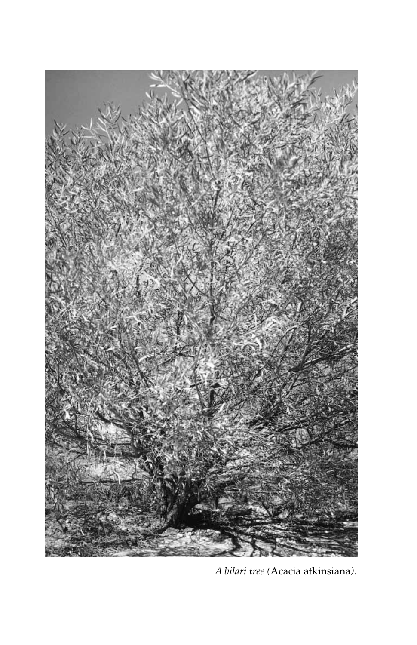

*A bilari tree (*Acacia atkinsiana*).*